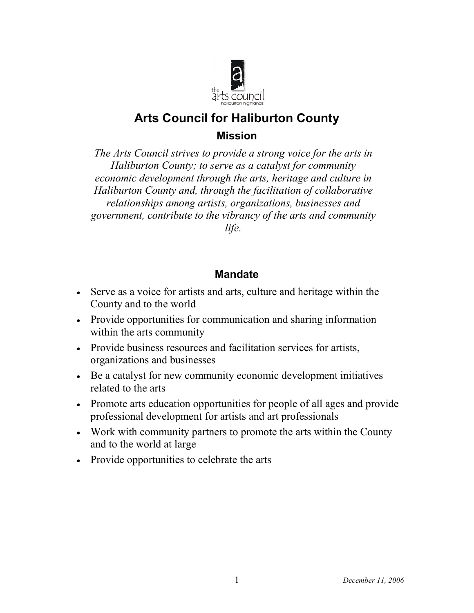

# **Arts Council for Haliburton County Mission**

*The Arts Council strives to provide a strong voice for the arts in Haliburton County; to serve as a catalyst for community economic development through the arts, heritage and culture in Haliburton County and, through the facilitation of collaborative relationships among artists, organizations, businesses and government, contribute to the vibrancy of the arts and community life.*

# **Mandate**

- Serve as a voice for artists and arts, culture and heritage within the County and to the world
- Provide opportunities for communication and sharing information within the arts community
- Provide business resources and facilitation services for artists, organizations and businesses
- Be a catalyst for new community economic development initiatives related to the arts
- Promote arts education opportunities for people of all ages and provide professional development for artists and art professionals
- Work with community partners to promote the arts within the County and to the world at large
- Provide opportunities to celebrate the arts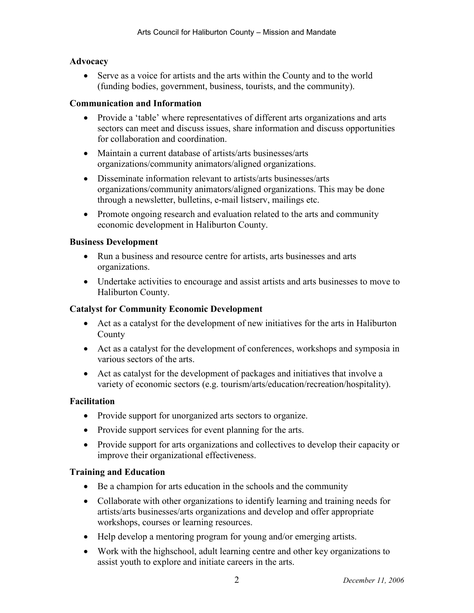# **Advocacy**

• Serve as a voice for artists and the arts within the County and to the world (funding bodies, government, business, tourists, and the community).

# **Communication and Information**

- Provide a 'table' where representatives of different arts organizations and arts sectors can meet and discuss issues, share information and discuss opportunities for collaboration and coordination.
- Maintain a current database of artists/arts businesses/arts organizations/community animators/aligned organizations.
- Disseminate information relevant to artists/arts businesses/arts organizations/community animators/aligned organizations. This may be done through a newsletter, bulletins, e-mail listserv, mailings etc.
- Promote ongoing research and evaluation related to the arts and community economic development in Haliburton County.

# **Business Development**

- Run a business and resource centre for artists, arts businesses and arts organizations.
- Undertake activities to encourage and assist artists and arts businesses to move to Haliburton County.

#### **Catalyst for Community Economic Development**

- Act as a catalyst for the development of new initiatives for the arts in Haliburton County
- Act as a catalyst for the development of conferences, workshops and symposia in various sectors of the arts.
- Act as catalyst for the development of packages and initiatives that involve a variety of economic sectors (e.g. tourism/arts/education/recreation/hospitality).

#### **Facilitation**

- Provide support for unorganized arts sectors to organize.
- Provide support services for event planning for the arts.
- Provide support for arts organizations and collectives to develop their capacity or improve their organizational effectiveness.

#### **Training and Education**

- Be a champion for arts education in the schools and the community
- Collaborate with other organizations to identify learning and training needs for artists/arts businesses/arts organizations and develop and offer appropriate workshops, courses or learning resources.
- Help develop a mentoring program for young and/or emerging artists.
- Work with the highschool, adult learning centre and other key organizations to assist youth to explore and initiate careers in the arts.